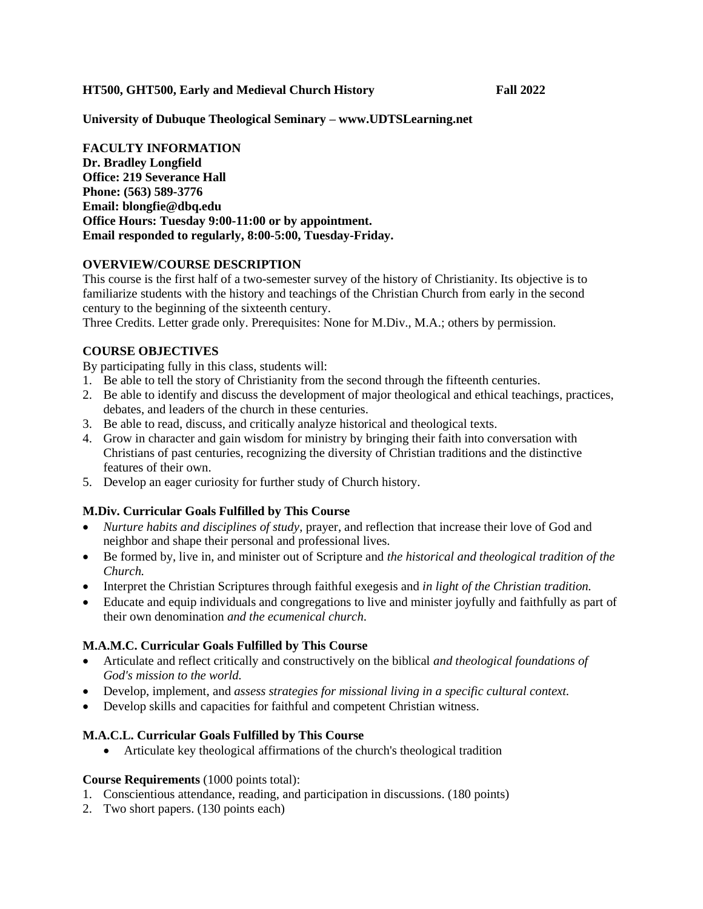**HT500, GHT500, Early and Medieval Church History Fall 2022**

**University of Dubuque Theological Seminary – www.UDTSLearning.net**

**FACULTY INFORMATION Dr. Bradley Longfield Office: 219 Severance Hall Phone: (563) 589-3776 Email: blongfie@dbq.edu Office Hours: Tuesday 9:00-11:00 or by appointment. Email responded to regularly, 8:00-5:00, Tuesday-Friday.**

#### **OVERVIEW/COURSE DESCRIPTION**

This course is the first half of a two-semester survey of the history of Christianity. Its objective is to familiarize students with the history and teachings of the Christian Church from early in the second century to the beginning of the sixteenth century.

Three Credits. Letter grade only. Prerequisites: None for M.Div., M.A.; others by permission.

#### **COURSE OBJECTIVES**

By participating fully in this class, students will:

- 1. Be able to tell the story of Christianity from the second through the fifteenth centuries.
- 2. Be able to identify and discuss the development of major theological and ethical teachings, practices, debates, and leaders of the church in these centuries.
- 3. Be able to read, discuss, and critically analyze historical and theological texts.
- 4. Grow in character and gain wisdom for ministry by bringing their faith into conversation with Christians of past centuries, recognizing the diversity of Christian traditions and the distinctive features of their own.
- 5. Develop an eager curiosity for further study of Church history.

## **M.Div. Curricular Goals Fulfilled by This Course**

- *Nurture habits and disciplines of study*, prayer, and reflection that increase their love of God and neighbor and shape their personal and professional lives.
- Be formed by, live in, and minister out of Scripture and *the historical and theological tradition of the Church.*
- Interpret the Christian Scriptures through faithful exegesis and *in light of the Christian tradition.*
- Educate and equip individuals and congregations to live and minister joyfully and faithfully as part of their own denomination *and the ecumenical church*.

## **M.A.M.C. Curricular Goals Fulfilled by This Course**

- Articulate and reflect critically and constructively on the biblical *and theological foundations of God's mission to the world.*
- Develop, implement, and *assess strategies for missional living in a specific cultural context.*
- Develop skills and capacities for faithful and competent Christian witness.

## **M.A.C.L. Curricular Goals Fulfilled by This Course**

• Articulate key theological affirmations of the church's theological tradition

#### **Course Requirements** (1000 points total):

- 1. Conscientious attendance, reading, and participation in discussions. (180 points)
- 2. Two short papers. (130 points each)